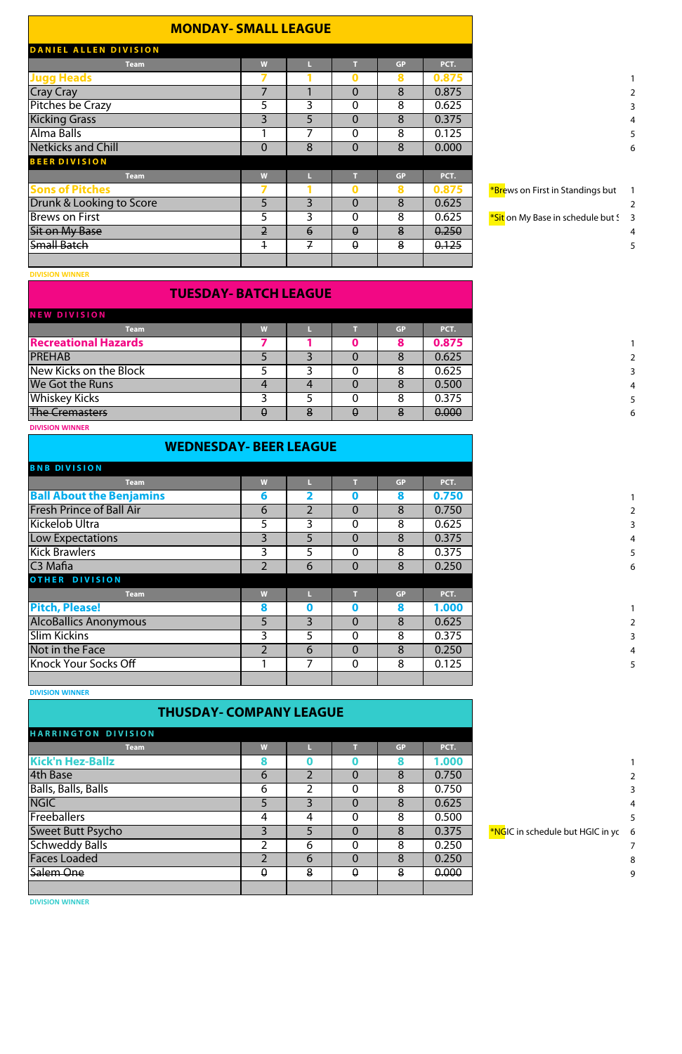| <b>MONDAY- SMALL LEAGUE</b>  |                |                 |                |           |       |
|------------------------------|----------------|-----------------|----------------|-----------|-------|
| <b>DANIEL ALLEN DIVISION</b> |                |                 |                |           |       |
| <b>Team</b>                  | W              |                 |                | <b>GP</b> | PCT.  |
| <b>Jugg Heads</b>            |                |                 | 0              | 8         | 0.875 |
| <b>Cray Cray</b>             |                |                 | $\overline{0}$ | 8         | 0.875 |
| <b>Pitches be Crazy</b>      | כ              | 3               | $\overline{0}$ | 8         | 0.625 |
| <b>Kicking Grass</b>         | 3              | 5               | $\overline{0}$ | 8         | 0.375 |
| Alma Balls                   |                | 7               | $\mathbf{0}$   | 8         | 0.125 |
| <b>Netkicks and Chill</b>    | $\overline{0}$ | 8               | $\overline{0}$ | 8         | 0.000 |
| <b>BEER DIVISION</b>         |                |                 |                |           |       |
| <b>Team</b>                  | W              | Ш               | T              | <b>GP</b> | PCT.  |
| <b>Sons of Pitches</b>       |                |                 | 0              | 8         | 0.875 |
| Drunk & Looking to Score     | 5              | $\overline{3}$  | $\overline{0}$ | 8         | 0.625 |
| <b>Brews on First</b>        | 5              | 3               | $\overline{0}$ | 8         | 0.625 |
| <b>Sit on My Base</b>        | $\overline{2}$ | $\ddot{\theta}$ | $\theta$       | 8         | 0.250 |
| <b>Small Batch</b>           | $\ddagger$     | $\mathcal{F}$   | $\theta$       | 8         | 0.125 |
|                              |                |                 |                |           |       |
|                              |                |                 |                |           |       |

**DIVISION WINNER**

#### **TUESDAY- BATCH LEAGUE**

| <b>NEW DIVISION</b>         |   |   |   |           |       |
|-----------------------------|---|---|---|-----------|-------|
| <b>Team</b>                 | W |   |   | <b>GP</b> | PCT.  |
| <b>Recreational Hazards</b> |   |   |   | 8         | 0.875 |
| <b>PREHAB</b>               |   |   |   | Ō         | 0.625 |
| New Kicks on the Block      |   |   |   | 8         | 0.625 |
| We Got the Runs             |   | 4 |   | 8         | 0.500 |
| <b>Whiskey Kicks</b>        |   |   |   | 8         | 0.375 |
| <b>The Cremasters</b>       | ⊎ | ð | ↔ | 8         | 0.000 |
| <b>DIVISION WINNER</b>      |   |   |   |           |       |

#### **Team W L T GP PCT. Ball About the Benjamins 6 2 0 8 0.750** 1 **Fresh Prince of Ball Air 2 6 2 0 8 0.750** Kickelob Ultra 5 3 0 8 0.625 3 Low Expectations 1 3 5 0 8 0.375 Kick Brawlers 3 5 0 8 0.375 5 C3 Mafia 2 6 0 8 0.250 6 **Team W L T GP PCT. Pitch, Please! 8 0 0 8 1.000** 1 AlcoBallics Anonymous 1 4 5 3 0 8 0.625 Slim Kickins | 3 | 5 | 0 | 8 | 0.375 | Not in the Face 2 6 0 8 0.250 **WEDNESDAY- BEER LEAGUE BNB DIVISION OTHER DIVISION**

**DIVISION WINNER**

### **THUSDAY- COMPANY LEAGUE**

**Knock Your Socks Off**  1 7 0 8 0.125

| <b>HARRINGTON DIVISION</b> |          |   |                |           |       |
|----------------------------|----------|---|----------------|-----------|-------|
| <b>Team</b>                | W        |   |                | <b>GP</b> | PCT.  |
| <b>Kick'n Hez-Ballz</b>    | 8        |   |                | 8         | 1.000 |
| 4th Base                   | 6        |   | 0              | 8         | 0.750 |
| <b>Balls, Balls, Balls</b> | 6        |   | $\overline{0}$ | 8         | 0.750 |
| <b>NGIC</b>                |          |   | 0              | 8         | 0.625 |
| Freeballers                | 4        | 4 | 0              | 8         | 0.500 |
| Sweet Butt Psycho          |          |   | O              | 8         | 0.375 |
| <b>Schweddy Balls</b>      | 2        | 6 | 0              | 8         | 0.250 |
| <b>Faces Loaded</b>        |          | 6 | 0              | 8         | 0.250 |
| Salem One                  | $\theta$ | 8 | $\theta$       | 8         | 0.000 |
|                            |          |   |                |           |       |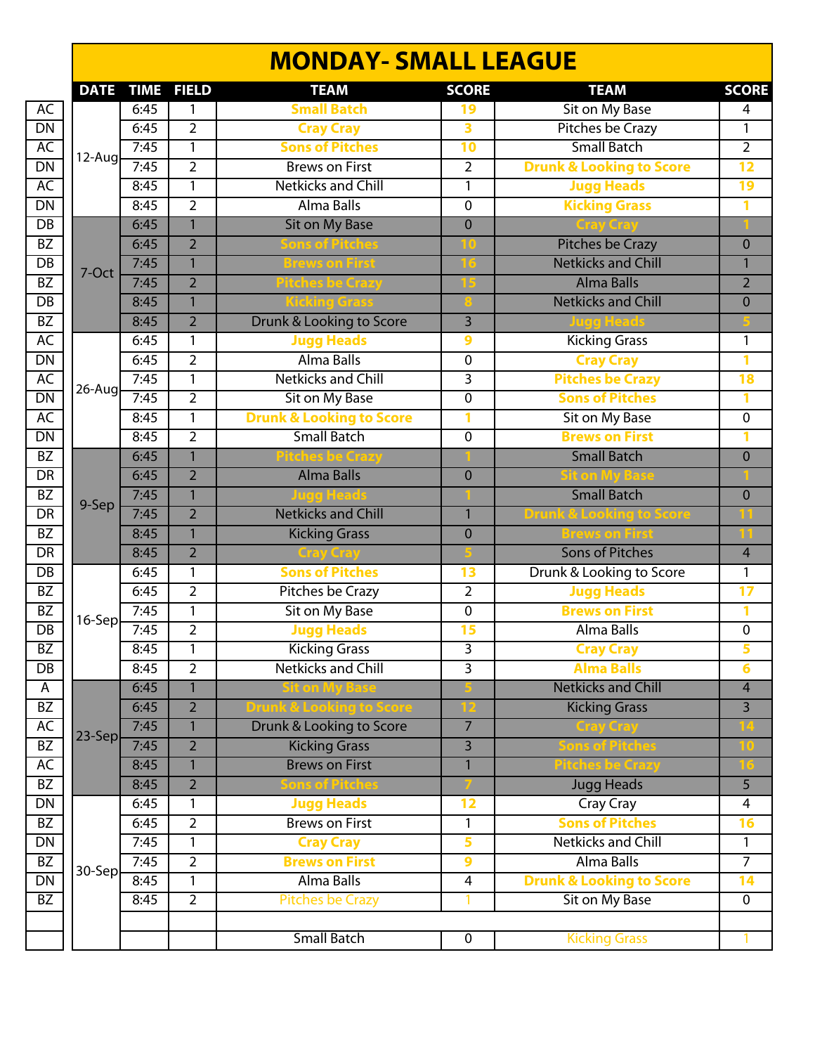|                                          |             |             |                | <b>MONDAY- SMALL LEAGUE</b>         |                |                                     |                 |
|------------------------------------------|-------------|-------------|----------------|-------------------------------------|----------------|-------------------------------------|-----------------|
|                                          | <b>DATE</b> | <b>TIME</b> | <b>FIELD</b>   | <b>TEAM</b>                         | <b>SCORE</b>   | <b>TEAM</b>                         | <b>SCORE</b>    |
| AC                                       |             | 6:45        | 1              | <b>Small Batch</b>                  | 19             | <b>Sit on My Base</b>               | 4               |
| $\overline{DN}$                          |             | 6:45        | $\overline{2}$ | <b>Cray Cray</b>                    | 3              | <b>Pitches be Crazy</b>             |                 |
| AC                                       |             | 7:45        | $\overline{1}$ | <b>Sons of Pitches</b>              | 10             | <b>Small Batch</b>                  | $\overline{2}$  |
| $\overline{\mathsf{DN}}$                 | $12$ -Aug   | 7:45        | $\overline{2}$ | <b>Brews on First</b>               | $\overline{2}$ | <b>Drunk &amp; Looking to Score</b> | 12              |
| AC                                       |             | 8:45        | 1              | <b>Netkicks and Chill</b>           | $\mathbf{1}$   | <b>Jugg Heads</b>                   | 19              |
| $\overline{\mathsf{DN}}$                 |             | 8:45        | $\overline{2}$ | Alma Balls                          | 0              | <b>Kicking Grass</b>                | 1               |
| $\overline{DB}$                          |             | 6:45        | $\mathbf{1}$   | <b>Sit on My Base</b>               | $\mathbf 0$    |                                     |                 |
| $\overline{BZ}$                          |             | 6:45        | $\overline{2}$ |                                     | K0             | <b>Pitches be Crazy</b>             | $\mathbf 0$     |
| $\overline{DB}$                          | 7-Oct       | 7:45        | $\mathbf{1}$   | Brews on First                      |                | <b>Netkicks and Chill</b>           | 1               |
| $\overline{BZ}$                          |             | 7:45        | $\overline{2}$ | tches be Crazy                      |                | <b>Alma Balls</b>                   | $\overline{2}$  |
| $\overline{DB}$                          |             | 8:45        | $\mathbf{1}$   | <b><u> Kicking Gras</u></b>         |                | <b>Netkicks and Chill</b>           | $\mathbf 0$     |
| $\overline{BZ}$                          |             | 8:45        | $\overline{2}$ | Drunk & Looking to Score            | $\overline{3}$ |                                     |                 |
| AC                                       |             | 6:45        | $\mathbf{1}$   | <b>Jugg Heads</b>                   | 9              | <b>Kicking Grass</b>                | 1               |
|                                          |             | 6:45        | $\overline{2}$ | Alma Balls                          | 0              | <b>Cray Cray</b>                    | 1               |
| $\frac{\overline{\text{DN}}}{\text{AC}}$ | 26-Aug      | 7:45        | $\overline{1}$ | <b>Netkicks and Chill</b>           | 3              | <b>Pitches be Crazy</b>             | 18              |
| $\overline{\mathsf{DN}}$                 |             | 7:45        | $\overline{2}$ | Sit on My Base                      | 0              | <b>Sons of Pitches</b>              | 1               |
| AC                                       |             | 8:45        | 1              | <b>Drunk &amp; Looking to Score</b> | 1              | Sit on My Base                      | $\pmb{0}$       |
| $\frac{DN}{BZ}$                          |             | 8:45        | $\overline{2}$ | <b>Small Batch</b>                  | $\overline{0}$ | <b>Brews on First</b>               | 1               |
|                                          |             | 6:45        | $\mathbf{1}$   | itches be Crazy                     |                | <b>Small Batch</b>                  | $\overline{0}$  |
| $\overline{DR}$                          |             | 6:45        | $\overline{2}$ | <b>Alma Balls</b>                   | $\overline{0}$ | Sit on My Ba                        |                 |
| $\overline{BZ}$                          |             | 7:45        | $\overline{1}$ |                                     |                | <b>Small Batch</b>                  | $\mathbf 0$     |
| $\overline{DR}$                          | 9-Sep       | 7:45        | $\overline{2}$ | <b>Netkicks and Chill</b>           | $\mathbf{1}$   | <b>Drunk &amp; Looking to Score</b> |                 |
| $\overline{BZ}$                          |             | 8:45        | $\mathbf{1}$   | <b>Kicking Grass</b>                | $\mathbf 0$    | <b>Brews on First</b>               |                 |
| $\overline{DR}$                          |             | 8:45        | $\overline{2}$ | Cray Cray                           |                | <b>Sons of Pitches</b>              | $\overline{4}$  |
| $\overline{DB}$                          |             | 6:45        | $\mathbf{1}$   | <b>Sons of Pitches</b>              | 13             | Drunk & Looking to Score            | 1               |
| $\overline{BZ}$                          |             | 6:45        | $\overline{2}$ | Pitches be Crazy                    | $\overline{2}$ | <b>Jugg Heads</b>                   | $\overline{17}$ |
| $\overline{BZ}$                          | 16-Sep      | 7:45        | $\overline{1}$ | Sit on My Base                      | $\overline{0}$ | <b>Brews on First</b>               | 1               |
| $\overline{DB}$                          |             | 7:45        | $\overline{2}$ | <b>Jugg Heads</b>                   | 15             | Alma Balls                          | $\overline{0}$  |
| $\overline{BZ}$                          |             | 8:45        | 1              | <b>Kicking Grass</b>                | $\overline{3}$ | <b>Cray Cray</b>                    | 5               |
| $\overline{DB}$                          |             | 8:45        | $\overline{2}$ | <b>Netkicks and Chill</b>           | $\overline{3}$ | <b>Alma Balls</b>                   | $6\phantom{a}$  |
| $\overline{A}$                           |             | 6:45        | $\mathbf{1}$   | <b>Sit on My Base</b>               |                | <b>Netkicks and Chill</b>           | $\overline{4}$  |
| $\overline{BZ}$                          |             | 6:45        | $\overline{2}$ | Drunk & Looking to Score            | כו             | <b>Kicking Grass</b>                | $\overline{3}$  |
| AC                                       | 23-Sep      | 7:45        | $\mathbf{1}$   | Drunk & Looking to Score            | $\overline{7}$ | Cray Cray                           |                 |
| $\overline{BZ}$                          |             | 7:45        | $\overline{2}$ | <b>Kicking Grass</b>                | $\overline{3}$ | <b>Sons of Pitche</b>               | 10              |
| AC                                       |             | 8:45        | $\mathbf{1}$   | <b>Brews on First</b>               | $\mathbf{1}$   | <b>Pitches be Crazy</b>             |                 |
| $\overline{BZ}$                          |             | 8:45        | $\overline{2}$ | ions of Pitches                     |                | <b>Jugg Heads</b>                   | 5               |
| $\overline{\mathsf{DN}}$                 |             | 6:45        | 1              | <b>Jugg Heads</b>                   | 12             | Cray Cray                           | 4               |
| $\overline{BZ}$                          |             | 6:45        | $\overline{2}$ | <b>Brews on First</b>               | 1              | <b>Sons of Pitches</b>              | 16              |
| $\overline{\mathsf{DN}}$                 |             | 7:45        | 1              | <b>Cray Cray</b>                    | 5              | <b>Netkicks and Chill</b>           | $\mathbf{1}$    |
| BZ                                       | 30-Sep      | 7:45        | $\overline{2}$ | <b>Brews on First</b>               | 9              | Alma Balls                          | $\overline{7}$  |
| $\overline{\mathsf{DN}}$                 |             | 8:45        | 1              | Alma Balls                          | 4              | <b>Drunk &amp; Looking to Score</b> | 14              |
| $\overline{BZ}$                          |             | 8:45        | $\overline{2}$ | <b>Pitches be Crazy</b>             | 1              | <b>Sit on My Base</b>               | $\overline{0}$  |
|                                          |             |             |                | <b>Small Batch</b>                  | $\pmb{0}$      | <b>Kicking Grass</b>                | 1               |
|                                          |             |             |                |                                     |                |                                     |                 |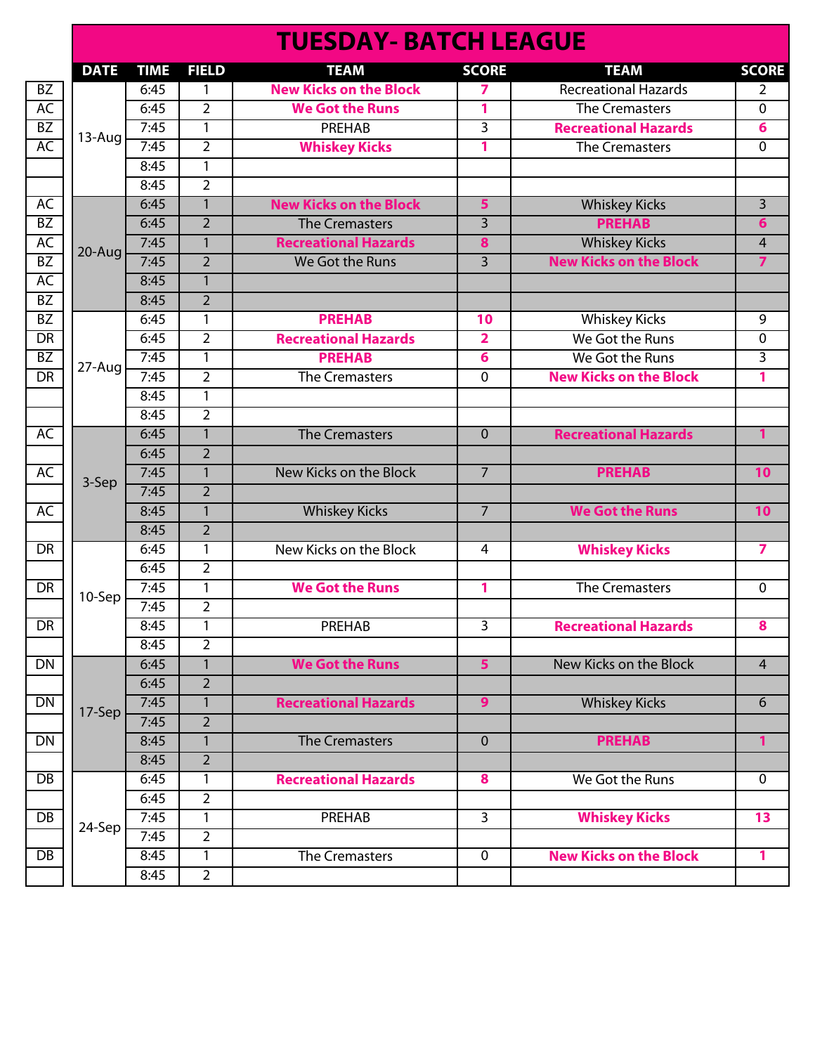|                 |             |             |                | <b>TUESDAY- BATCH LEAGUE</b>  |                         |                               |                |
|-----------------|-------------|-------------|----------------|-------------------------------|-------------------------|-------------------------------|----------------|
|                 | <b>DATE</b> | <b>TIME</b> | <b>FIELD</b>   | <b>TEAM</b>                   | <b>SCORE</b>            | <b>TEAM</b>                   | <b>SCORE</b>   |
| BZ              |             | 6:45        | 1              | <b>New Kicks on the Block</b> | 7                       | <b>Recreational Hazards</b>   | $\overline{2}$ |
| AC              |             | 6:45        | $\overline{2}$ | <b>We Got the Runs</b>        | 1                       | The Cremasters                | 0              |
| $\overline{BZ}$ | $13 - Aug$  | 7:45        | 1              | <b>PREHAB</b>                 | $\overline{3}$          | <b>Recreational Hazards</b>   | 6              |
| $\overline{AC}$ |             | 7:45        | $\overline{2}$ | <b>Whiskey Kicks</b>          | 1                       | <b>The Cremasters</b>         | 0              |
|                 |             | 8:45        | $\mathbf{1}$   |                               |                         |                               |                |
|                 |             | 8:45        | $\overline{2}$ |                               |                         |                               |                |
| AC              |             | 6:45        | $\mathbf{1}$   | <b>New Kicks on the Block</b> | 5                       | <b>Whiskey Kicks</b>          | 3              |
| $\overline{BZ}$ |             | 6:45        | $\overline{2}$ | <b>The Cremasters</b>         | $\overline{3}$          | <b>PREHAB</b>                 | $6\phantom{1}$ |
| <b>AC</b>       | 20-Aug      | 7:45        | $\mathbf{1}$   | <b>Recreational Hazards</b>   | 8                       | <b>Whiskey Kicks</b>          | $\overline{4}$ |
| BZ              |             | 7:45        | $\overline{2}$ | We Got the Runs               | $\overline{3}$          | <b>New Kicks on the Block</b> | $\overline{7}$ |
| AC              |             | 8:45        | $\overline{1}$ |                               |                         |                               |                |
| $\overline{BZ}$ |             | 8:45        | $\overline{2}$ |                               |                         |                               |                |
| <b>BZ</b>       |             | 6:45        | 1              | <b>PREHAB</b>                 | 10                      | <b>Whiskey Kicks</b>          | 9              |
| $\overline{DR}$ |             | 6:45        | $\overline{2}$ | <b>Recreational Hazards</b>   | $\overline{\mathbf{2}}$ | We Got the Runs               | 0              |
| BZ              |             | 7:45        | $\mathbf{1}$   | <b>PREHAB</b>                 | 6                       | We Got the Runs               | $\overline{3}$ |
| DR              | 27-Aug      | 7:45        | $\overline{2}$ | <b>The Cremasters</b>         | $\mathbf{0}$            | <b>New Kicks on the Block</b> | 1              |
|                 |             | 8:45        | $\mathbf{1}$   |                               |                         |                               |                |
|                 |             | 8:45        | $\overline{2}$ |                               |                         |                               |                |
| AC              |             | 6:45        | $\overline{1}$ | <b>The Cremasters</b>         | $\mathbf{0}$            | <b>Recreational Hazards</b>   | $\mathbf{1}$   |
|                 |             | 6:45        | $\overline{2}$ |                               |                         |                               |                |
| AC              |             | 7:45        | $\mathbf{1}$   | New Kicks on the Block        | $\overline{7}$          | <b>PREHAB</b>                 | 10             |
|                 | 3-Sep       | 7:45        | $\overline{2}$ |                               |                         |                               |                |
| <b>AC</b>       |             | 8:45        | $\overline{1}$ | <b>Whiskey Kicks</b>          | $\overline{7}$          | <b>We Got the Runs</b>        | 10             |
|                 |             | 8:45        | $\overline{2}$ |                               |                         |                               |                |
| <b>DR</b>       |             | 6:45        | 1              | New Kicks on the Block        | 4                       | <b>Whiskey Kicks</b>          | $\overline{ }$ |
|                 |             | 6:45        | $\overline{2}$ |                               |                         |                               |                |
| <b>DR</b>       |             | 7:45        | 1              | <b>We Got the Runs</b>        | 1                       | <b>The Cremasters</b>         | $\mathbf 0$    |
|                 | 10-Sep      | 7:45        | $\overline{2}$ |                               |                         |                               |                |
| DR              |             | 8:45        | 1              | PREHAB                        | 3                       | <b>Recreational Hazards</b>   | 8              |
|                 |             | 8:45        | $\overline{2}$ |                               |                         |                               |                |
| DN              |             | 6:45        | $\mathbf{1}$   | <b>We Got the Runs</b>        | 5 <sup>1</sup>          | New Kicks on the Block        | $\overline{4}$ |
|                 |             | 6:45        | $\overline{2}$ |                               |                         |                               |                |
| <b>DN</b>       |             | 7:45        | $\mathbf{1}$   | <b>Recreational Hazards</b>   | 9 <sup>°</sup>          | <b>Whiskey Kicks</b>          | 6              |
|                 | 17-Sep      | 7:45        | $\overline{2}$ |                               |                         |                               |                |
| DN              |             | 8:45        | $\mathbf{1}$   | <b>The Cremasters</b>         | $\overline{0}$          | <b>PREHAB</b>                 | $\mathbf{1}$   |
|                 |             | 8:45        | $\overline{2}$ |                               |                         |                               |                |
| DB              |             | 6:45        | 1              | <b>Recreational Hazards</b>   | 8                       | We Got the Runs               | $\mathbf 0$    |
|                 |             | 6:45        | $\overline{2}$ |                               |                         |                               |                |
| DB              |             | 7:45        | $\mathbf{1}$   | PREHAB                        | $\overline{3}$          | <b>Whiskey Kicks</b>          | 13             |
|                 | 24-Sep      | 7:45        | $\overline{2}$ |                               |                         |                               |                |
| DB              |             | 8:45        | $\mathbf{1}$   | <b>The Cremasters</b>         | $\mathbf 0$             | <b>New Kicks on the Block</b> | $\mathbf{1}$   |
|                 |             | 8:45        | $\overline{2}$ |                               |                         |                               |                |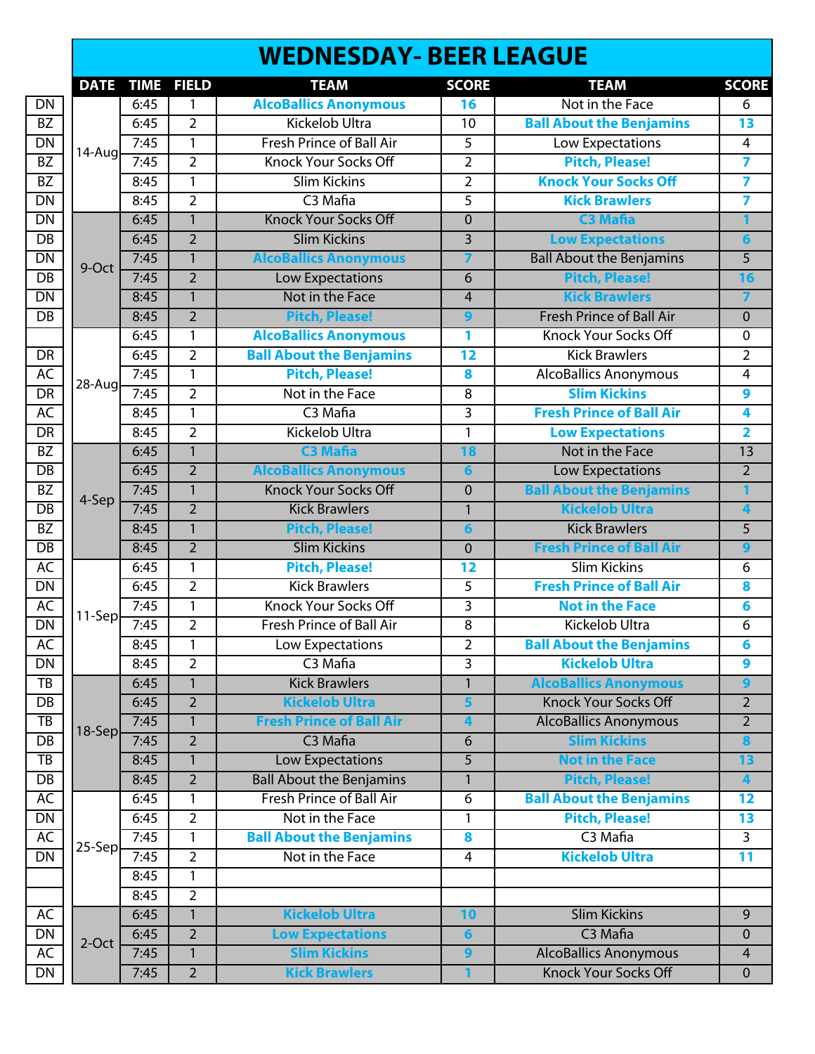# **WEDNESDAY- BEER LEAGUE**

|                 | <b>DATE</b> | <b>TIME</b> | <b>FIELD</b>   | <b>TEAM</b>                                                                                                                                                                                                                                                                                                                              | <b>SCORE</b>            | <b>TEAM</b>                     | <b>SCORE</b>            |
|-----------------|-------------|-------------|----------------|------------------------------------------------------------------------------------------------------------------------------------------------------------------------------------------------------------------------------------------------------------------------------------------------------------------------------------------|-------------------------|---------------------------------|-------------------------|
| <b>DN</b>       |             | 6:45        | 1              | <b>AlcoBallics Anonymous</b>                                                                                                                                                                                                                                                                                                             | 16                      | Not in the Face                 | 6                       |
| BZ              |             | 6:45        | $\overline{2}$ | <b>Kickelob Ultra</b>                                                                                                                                                                                                                                                                                                                    | 10                      | <b>Ball About the Benjamins</b> | $\overline{13}$         |
| DN              |             | 7:45        | $\mathbf{1}$   | <b>Fresh Prince of Ball Air</b>                                                                                                                                                                                                                                                                                                          |                         | Low Expectations                | $\overline{4}$          |
| BZ              | 14-Aug      | 7:45        | $\overline{2}$ | <b>Knock Your Socks Off</b>                                                                                                                                                                                                                                                                                                              |                         | <b>Pitch, Please!</b>           | $\overline{\mathbf{z}}$ |
| $\overline{BZ}$ |             | 8:45        | 1              | <b>Slim Kickins</b>                                                                                                                                                                                                                                                                                                                      | $\overline{2}$          | <b>Knock Your Socks Off</b>     | 7                       |
| DN              |             | 8:45        | $\overline{2}$ | C <sub>3</sub> Mafia                                                                                                                                                                                                                                                                                                                     | $\overline{5}$          | <b>Kick Brawlers</b>            | $\overline{\mathbf{7}}$ |
| DN              |             | 6:45        | $\overline{1}$ | <b>Knock Your Socks Off</b>                                                                                                                                                                                                                                                                                                              | $\overline{0}$          | <b>C3 Mafia</b>                 | 1                       |
| $\overline{DB}$ |             | 6:45        | $\overline{2}$ | <b>Slim Kickins</b>                                                                                                                                                                                                                                                                                                                      | $\overline{3}$          | <b>Low Expectations</b>         | $6\phantom{1}6$         |
| DN              |             | 7:45        | 1              | <b>AlcoBallics Anonymous</b>                                                                                                                                                                                                                                                                                                             | $\overline{7}$          | <b>Ball About the Benjamins</b> | $\overline{5}$          |
| $\overline{DB}$ | 9-Oct       | 7:45        | $\overline{2}$ |                                                                                                                                                                                                                                                                                                                                          | 6                       | <b>Pitch, Please!</b>           | 16                      |
| DN              |             | 8:45        | $\mathbf{1}$   | Not in the Face                                                                                                                                                                                                                                                                                                                          | $\overline{4}$          | <b>Kick Brawlers</b>            | $\overline{7}$          |
| DB              |             | 8:45        | $\overline{2}$ |                                                                                                                                                                                                                                                                                                                                          | 9                       | <b>Fresh Prince of Ball Air</b> | $\pmb{0}$               |
|                 |             | 6:45        | $\mathbf{1}$   |                                                                                                                                                                                                                                                                                                                                          | 1                       | Knock Your Socks Off            | $\overline{0}$          |
| DR              |             | 6:45        | $\overline{2}$ | <b>Ball About the Benjamins</b>                                                                                                                                                                                                                                                                                                          | $\overline{12}$         | <b>Kick Brawlers</b>            | $\overline{2}$          |
| <b>AC</b>       |             | 7:45        | $\mathbf{1}$   |                                                                                                                                                                                                                                                                                                                                          | $\overline{\mathbf{8}}$ | <b>AlcoBallics Anonymous</b>    | $\overline{4}$          |
| <b>DR</b>       | $28 - Aug$  | 7:45        | $\overline{2}$ | Not in the Face                                                                                                                                                                                                                                                                                                                          | $\overline{8}$          | <b>Slim Kickins</b>             | 9                       |
| AC              |             | 8:45        | 1              | C <sub>3</sub> Mafia                                                                                                                                                                                                                                                                                                                     | $\overline{3}$          | <b>Fresh Prince of Ball Air</b> | 4                       |
| DR              |             | 8:45        | $\overline{2}$ | Kickelob Ultra                                                                                                                                                                                                                                                                                                                           | $\mathbf{1}$            | <b>Low Expectations</b>         | $\overline{\mathbf{2}}$ |
| BZ              |             | 6:45        | $\overline{1}$ | <b>C3 Mafia</b>                                                                                                                                                                                                                                                                                                                          | 18                      | Not in the Face                 | 13                      |
| $\overline{DB}$ |             | 6:45        | $\overline{2}$ | <b>AlcoBallics Anonymous</b>                                                                                                                                                                                                                                                                                                             | $6\phantom{a}$          | <b>Low Expectations</b>         | $\overline{2}$          |
| BZ              |             | 7:45        | $\mathbf{1}$   | <b>Knock Your Socks Off</b>                                                                                                                                                                                                                                                                                                              | $\mathbf 0$             | <b>Ball About the Benjamins</b> | 1                       |
| DB              | 4-Sep       | 7:45        | $\overline{2}$ | <b>Kick Brawlers</b>                                                                                                                                                                                                                                                                                                                     | $\mathbf{1}$            | <b>Kickelob Ultra</b>           | 4                       |
| BZ              |             | 8:45        | $\mathbf{1}$   | <b>Pitch, Please!</b>                                                                                                                                                                                                                                                                                                                    | $6\phantom{1}6$         | <b>Kick Brawlers</b>            | $\overline{5}$          |
| $\overline{DB}$ |             | 8:45        | $\overline{2}$ | <b>Slim Kickins</b>                                                                                                                                                                                                                                                                                                                      | $\mathbf 0$             | <b>Fresh Prince of Ball Air</b> | $\overline{9}$          |
| AC              |             | 6:45        | $\mathbf{1}$   | <b>Pitch, Please!</b>                                                                                                                                                                                                                                                                                                                    | 12                      | <b>Slim Kickins</b>             | $\overline{6}$          |
| DN              |             | 6:45        | $\overline{2}$ | <b>Kick Brawlers</b>                                                                                                                                                                                                                                                                                                                     | 5                       | <b>Fresh Prince of Ball Air</b> | 8                       |
| AC              |             | 7:45        | $\overline{1}$ | <b>Knock Your Socks Off</b>                                                                                                                                                                                                                                                                                                              | $\overline{3}$          | <b>Not in the Face</b>          | $6\overline{6}$         |
| DN              | 11-Sep      | 7:45        | $\overline{2}$ | <b>Fresh Prince of Ball Air</b>                                                                                                                                                                                                                                                                                                          | 8                       | Kickelob Ultra                  | $6\overline{6}$         |
| AC              |             | 8:45        | 1              | Low Expectations                                                                                                                                                                                                                                                                                                                         | $\overline{2}$          | <b>Ball About the Benjamins</b> | $6\phantom{1}6$         |
| DN              |             | 8:45        | $\overline{2}$ | C <sub>3</sub> Mafia                                                                                                                                                                                                                                                                                                                     | $\overline{3}$          | <b>Kickelob Ultra</b>           | $\overline{9}$          |
| TB              |             | 6:45        | $\mathbf{1}$   | <b>Kick Brawlers</b>                                                                                                                                                                                                                                                                                                                     | $\overline{1}$          | <b>AlcoBallics Anonymous</b>    | $\overline{9}$          |
| $\overline{DB}$ |             | 6:45        | $\overline{2}$ | <b>Kickelob Ultra</b>                                                                                                                                                                                                                                                                                                                    | 5                       | <b>Knock Your Socks Off</b>     | $\overline{2}$          |
| $\overline{TB}$ |             | 7:45        | 1              | <b>Fresh Prince of Ball Air</b>                                                                                                                                                                                                                                                                                                          | $\overline{\mathbf{4}}$ | <b>AlcoBallics Anonymous</b>    | $\overline{2}$          |
| DB              | 18-Sep      | 7:45        | $\overline{2}$ | C <sub>3</sub> Mafia                                                                                                                                                                                                                                                                                                                     | $6\phantom{1}$          | <b>Slim Kickins</b>             | 8                       |
| TB              |             | 8:45        | $\mathbf{1}$   | <b>Low Expectations</b>                                                                                                                                                                                                                                                                                                                  | $\overline{5}$          | <b>Not in the Face</b>          | 13                      |
| DB              |             | 8:45        | $\overline{2}$ | <b>Ball About the Benjamins</b>                                                                                                                                                                                                                                                                                                          | $\mathbf{1}$            | <b>Pitch, Please!</b>           | 4                       |
| AC              |             | 6:45        | 1              | <b>Fresh Prince of Ball Air</b>                                                                                                                                                                                                                                                                                                          | 6                       | <b>Ball About the Benjamins</b> | 12                      |
| DN              |             | 6:45        | $\overline{2}$ | Not in the Face                                                                                                                                                                                                                                                                                                                          | 1                       | <b>Pitch, Please!</b>           | 13                      |
| AC              | 25-Sep      | 7:45        | 1              | <b>Ball About the Benjamins</b>                                                                                                                                                                                                                                                                                                          | $\overline{\mathbf{8}}$ | C <sub>3</sub> Mafia            | $\overline{3}$          |
| <b>DN</b>       |             | 7:45        | $\overline{2}$ | Not in the Face                                                                                                                                                                                                                                                                                                                          | $\overline{4}$          | <b>Kickelob Ultra</b>           | 11                      |
|                 |             | 8:45        | 1              |                                                                                                                                                                                                                                                                                                                                          |                         |                                 |                         |
|                 |             | 8:45        | $\overline{2}$ |                                                                                                                                                                                                                                                                                                                                          |                         |                                 |                         |
| AC              |             | 6:45        | $\mathbf{1}$   | $\overline{5}$<br>$\overline{2}$<br><b>Low Expectations</b><br><b>Pitch, Please!</b><br><b>AlcoBallics Anonymous</b><br><b>Pitch, Please!</b><br><b>Kickelob Ultra</b><br>10<br><b>Low Expectations</b><br>$\overline{2}$<br>$6\phantom{a}$<br><b>Slim Kickins</b><br>$\overline{9}$<br>1<br>$\overline{2}$<br><b>Kick Brawlers</b><br>1 | <b>Slim Kickins</b>     | 9                               |                         |
| <b>DN</b>       |             | 6:45        |                |                                                                                                                                                                                                                                                                                                                                          |                         | C <sub>3</sub> Mafia            | $\overline{0}$          |
| AC              | $2$ -Oct    | 7:45        |                |                                                                                                                                                                                                                                                                                                                                          |                         | <b>AlcoBallics Anonymous</b>    | $\overline{4}$          |
| <b>DN</b>       |             | 7:45        |                |                                                                                                                                                                                                                                                                                                                                          |                         | <b>Knock Your Socks Off</b>     | $\mathbf 0$             |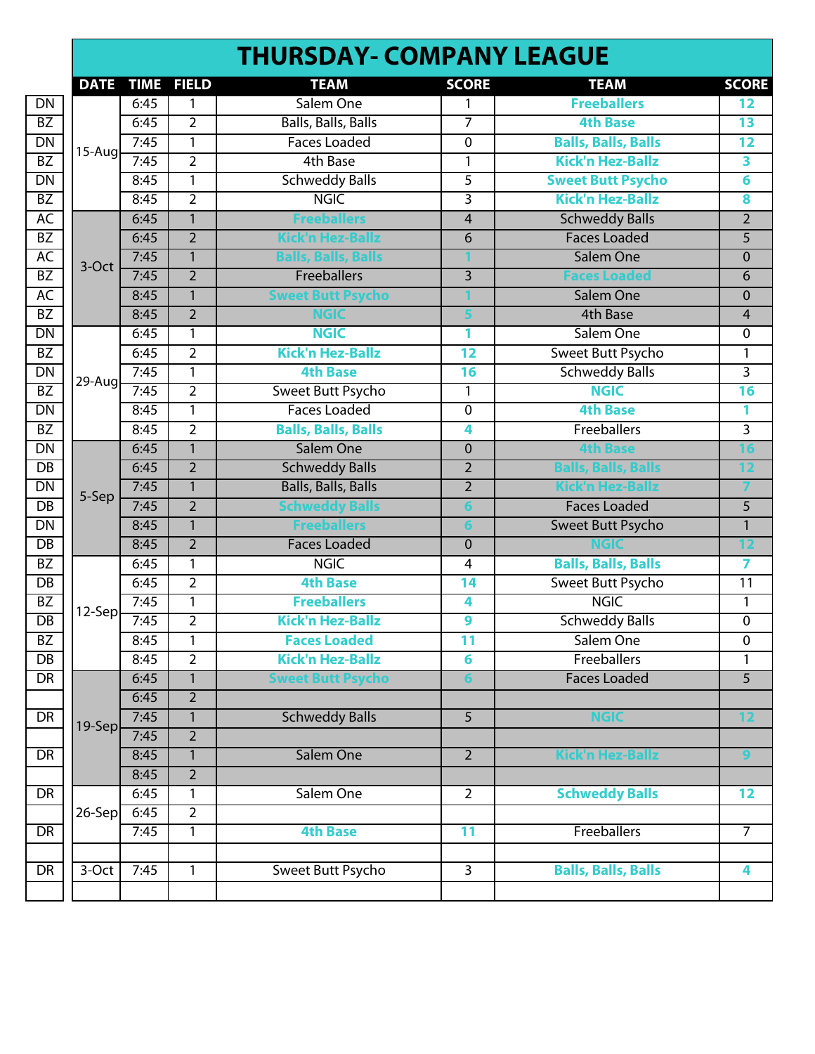|                 |             |             |                | <b>THURSDAY- COMPANY LEAGUE</b> |                         |                            |                         |
|-----------------|-------------|-------------|----------------|---------------------------------|-------------------------|----------------------------|-------------------------|
|                 | <b>DATE</b> | <b>TIME</b> | <b>FIELD</b>   | <b>TEAM</b>                     | <b>SCORE</b>            | <b>TEAM</b>                | <b>SCORE</b>            |
| $\overline{DN}$ |             | 6:45        | 1              | Salem One                       | 1                       | <b>Freeballers</b>         | 12                      |
| BZ              |             | 6:45        | $\overline{2}$ | <b>Balls, Balls, Balls</b>      | $\overline{7}$          | <b>4th Base</b>            | $\overline{13}$         |
| $\overline{DN}$ |             | 7:45        | 1              | <b>Faces Loaded</b>             | $\mathbf 0$             | <b>Balls, Balls, Balls</b> | 12                      |
| BZ              | $15-Aug$    | 7:45        | $\overline{2}$ | 4th Base                        | 1                       | <b>Kick'n Hez-Ballz</b>    | 3                       |
| $\overline{DN}$ |             | 8:45        | 1              | <b>Schweddy Balls</b>           | 5                       | <b>Sweet Butt Psycho</b>   | 6                       |
| $\overline{BZ}$ |             | 8:45        | $\overline{2}$ | <b>NGIC</b>                     | $\overline{\mathbf{3}}$ | <b>Kick'n Hez-Ballz</b>    | 8                       |
| AC              |             | 6:45        | $\mathbf{1}$   | <b>Freeballers</b>              | $\overline{4}$          | <b>Schweddy Balls</b>      | $\overline{2}$          |
| $\overline{BZ}$ |             | 6:45        | $\overline{2}$ | Kick'n Hez-Ballz                | 6                       | <b>Faces Loaded</b>        | 5                       |
| AC              |             | 7:45        | $\overline{1}$ | <b>Balls, Balls, Balls</b>      |                         | Salem One                  | $\overline{0}$          |
| $\overline{BZ}$ | 3-Oct       | 7:45        | $\overline{2}$ | Freeballers                     | 3                       | <b>Faces Loaded</b>        | 6                       |
| AC              |             | 8:45        | $\mathbf{1}$   | <b>Sweet Butt Psycho</b>        |                         | Salem One                  | $\mathbf 0$             |
| $\overline{BZ}$ |             | 8:45        | $\overline{2}$ | <b>NGIC</b>                     |                         | 4th Base                   | 4                       |
| $\overline{DN}$ |             | 6:45        | 1              | <b>NGIC</b>                     | 1                       | Salem One                  | 0                       |
| BZ              |             | 6:45        | $\overline{2}$ | <b>Kick'n Hez-Ballz</b>         | $\overline{12}$         | Sweet Butt Psycho          | 1                       |
| $\overline{DN}$ | 29-Aug      | 7:45        | 1              | <b>4th Base</b>                 | 16                      | <b>Schweddy Balls</b>      | $\overline{\mathbf{3}}$ |
| $\overline{BZ}$ |             | 7:45        | $\overline{2}$ | <b>Sweet Butt Psycho</b>        | 1                       | <b>NGIC</b>                | 16                      |
| $\overline{DN}$ |             | 8:45        | $\mathbf{1}$   | <b>Faces Loaded</b>             | $\mathbf 0$             | <b>4th Base</b>            | 1                       |
| $\overline{BZ}$ |             | 8:45        | $\overline{2}$ | <b>Balls, Balls, Balls</b>      | 4                       | Freeballers                | $\overline{3}$          |
| $\overline{DN}$ |             | 6:45        | $\overline{1}$ | Salem One                       | $\overline{0}$          | <b>4th Base</b>            | $\overline{16}$         |
| $\overline{DB}$ |             | 6:45        | $\overline{2}$ | <b>Schweddy Balls</b>           | $\overline{2}$          | <b>Balls, Balls, Balls</b> | 12                      |
| $\overline{DN}$ | 5-Sep       | 7:45        | $\mathbf{1}$   | <b>Balls, Balls, Balls</b>      | $\overline{2}$          | Kick'n Hez-Ballz           |                         |
| $\overline{DB}$ |             | 7:45        | $\overline{2}$ | <b>Schweddy Balls</b>           | 6                       | <b>Faces Loaded</b>        | $\overline{5}$          |
| $\overline{DN}$ |             | 8:45        | $\mathbf{1}$   | <b>Freeballers</b>              |                         | Sweet Butt Psycho          | $\mathbf{1}$            |
| $\overline{DB}$ |             | 8:45        | $\overline{2}$ | <b>Faces Loaded</b>             | $\mathbf 0$             | <b>NGIC</b>                | 12                      |
| BZ              |             | 6:45        | 1              | <b>NGIC</b>                     | 4                       | <b>Balls, Balls, Balls</b> | 7                       |
| $\overline{DB}$ |             | 6:45        | $\overline{2}$ | <b>4th Base</b>                 | 14                      | Sweet Butt Psycho          | 11                      |
| $\overline{BZ}$ | 12-Sep      | 7:45        | $\mathbf{1}$   | <b>Freeballers</b>              | 4                       | <b>NGIC</b>                | 1                       |
| $\overline{DB}$ |             | 7:45        | $\overline{2}$ | <b>Kick'n Hez-Ballz</b>         | 9                       | <b>Schweddy Balls</b>      | 0                       |
| BZ              |             | 8:45        | 1              | <b>Faces Loaded</b>             | 11                      | Salem One                  | 0                       |
| $\overline{DB}$ |             | 8:45        | $\overline{2}$ | <b>Kick'n Hez-Ballz</b>         | 6                       | <b>Freeballers</b>         | 1                       |
| DR              |             | 6:45        | $\mathbf{1}$   | <b>Sweet Butt Psycho</b>        | $6\phantom{a}$          | <b>Faces Loaded</b>        | 5                       |
|                 |             | 6:45        | $\overline{2}$ |                                 |                         |                            |                         |
| $\overline{DR}$ | 19-Sep      | 7:45        | 1              | <b>Schweddy Balls</b>           | 5                       | <b>NGIC</b>                | 12                      |
|                 |             | 7:45        | $\overline{2}$ |                                 |                         |                            |                         |
| $\overline{DR}$ |             | 8:45        | $\mathbf{1}$   | Salem One                       | $\overline{2}$          | <b>Kick'n Hez-Ballz</b>    | 9                       |
|                 |             | 8:45        | $\overline{2}$ |                                 |                         |                            |                         |
| $\overline{DR}$ |             | 6:45        | 1              | Salem One                       | $\overline{2}$          | <b>Schweddy Balls</b>      | 12                      |
|                 | $26$ -Sep   | 6:45        | $\overline{2}$ |                                 |                         |                            |                         |
| DR              |             | 7:45        | 1              | <b>4th Base</b>                 | 11                      | Freeballers                | $\overline{7}$          |
|                 |             |             |                |                                 |                         |                            |                         |
| DR              | 3-Oct       | 7:45        | $\mathbf{1}$   | Sweet Butt Psycho               | $\overline{3}$          | <b>Balls, Balls, Balls</b> | 4                       |
|                 |             |             |                |                                 |                         |                            |                         |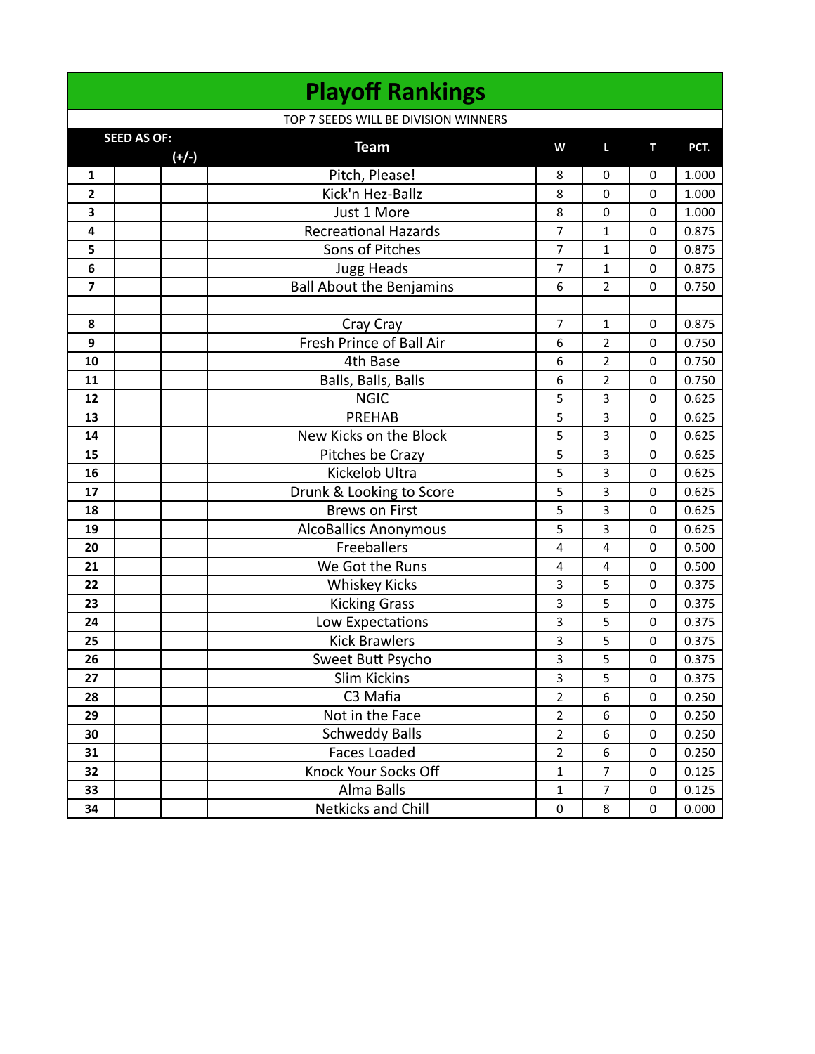|                              | <b>Playoff Rankings</b>                    |                         |                  |             |                |
|------------------------------|--------------------------------------------|-------------------------|------------------|-------------|----------------|
|                              | TOP 7 SEEDS WILL BE DIVISION WINNERS       |                         |                  |             |                |
|                              | <b>SEED AS OF:</b><br><b>Team</b>          | W                       | L                | т           | PCT.           |
|                              | $(+/-)$                                    |                         |                  |             |                |
| 1<br>$\overline{\mathbf{2}}$ | Pitch, Please!<br>Kick'n Hez-Ballz         | 8<br>8                  | $\mathbf 0$<br>0 | 0<br>0      | 1.000<br>1.000 |
|                              |                                            |                         |                  |             | 1.000          |
| 3<br>4                       | Just 1 More<br><b>Recreational Hazards</b> | 8<br>$\overline{7}$     | $\mathbf 0$<br>1 | 0<br>0      | 0.875          |
| 5                            | Sons of Pitches                            | $\overline{7}$          | 1                | 0           | 0.875          |
| 6                            | <b>Jugg Heads</b>                          | 7                       | 1                | 0           | 0.875          |
| $\overline{\mathbf{z}}$      | <b>Ball About the Benjamins</b>            | 6                       | $\overline{2}$   | $\Omega$    | 0.750          |
|                              |                                            |                         |                  |             |                |
| 8                            | Cray Cray                                  | 7                       | 1                | 0           | 0.875          |
| 9                            | Fresh Prince of Ball Air                   | 6                       | $\overline{2}$   | $\mathbf 0$ | 0.750          |
| 10                           | 4th Base                                   | 6                       | 2                | 0           | 0.750          |
| 11                           | Balls, Balls, Balls                        | 6                       | $\overline{2}$   | 0           | 0.750          |
| 12                           | <b>NGIC</b>                                | 5                       | 3                | $\mathbf 0$ | 0.625          |
| 13                           | <b>PREHAB</b>                              | 5                       | 3                | 0           | 0.625          |
| 14                           | New Kicks on the Block                     | 5                       | 3                | 0           | 0.625          |
| 15                           | Pitches be Crazy                           | 5                       | 3                | 0           | 0.625          |
| 16                           | Kickelob Ultra                             | 5                       | 3                | 0           | 0.625          |
| 17                           | Drunk & Looking to Score                   | 5                       | 3                | 0           | 0.625          |
| 18                           | <b>Brews on First</b>                      | 5                       | 3                | $\mathbf 0$ | 0.625          |
| 19                           | <b>AlcoBallics Anonymous</b>               | 5                       | 3                | 0           | 0.625          |
| 20                           | Freeballers                                | $\pmb{4}$               | 4                | 0           | 0.500          |
| 21                           | We Got the Runs                            | 4                       | 4                | 0           | 0.500          |
| 22                           | <b>Whiskey Kicks</b>                       | $\overline{3}$          | 5                | 0           | 0.375          |
| 23                           | <b>Kicking Grass</b>                       | 3                       | 5                | 0           | 0.375          |
| 24                           | Low Expectations                           | $\overline{\mathbf{3}}$ | 5                | $\mathbf 0$ | 0.375          |
| 25                           | <b>Kick Brawlers</b>                       | 3                       | 5                | 0           | 0.375          |
| 26                           | Sweet Butt Psycho                          | 3                       | 5                | 0           | 0.375          |
| 27                           | <b>Slim Kickins</b>                        | $\overline{3}$          | 5                | $\Omega$    | 0.375          |
| 28                           | C3 Mafia                                   | $\overline{2}$          | 6                | 0           | 0.250          |
| 29                           | Not in the Face                            | $\overline{2}$          | 6                | 0           | 0.250          |
| 30                           | <b>Schweddy Balls</b>                      | $\overline{2}$          | 6                | 0           | 0.250          |
| 31                           | <b>Faces Loaded</b>                        | $\mathbf 2$             | 6                | 0           | 0.250          |
| 32                           | Knock Your Socks Off                       | $\mathbf{1}$            | $\overline{7}$   | $\mathbf 0$ | 0.125          |
| 33                           | Alma Balls                                 | $\mathbf{1}$            | 7                | 0           | 0.125          |
| 34                           | Netkicks and Chill                         | 0                       | 8                | 0           | 0.000          |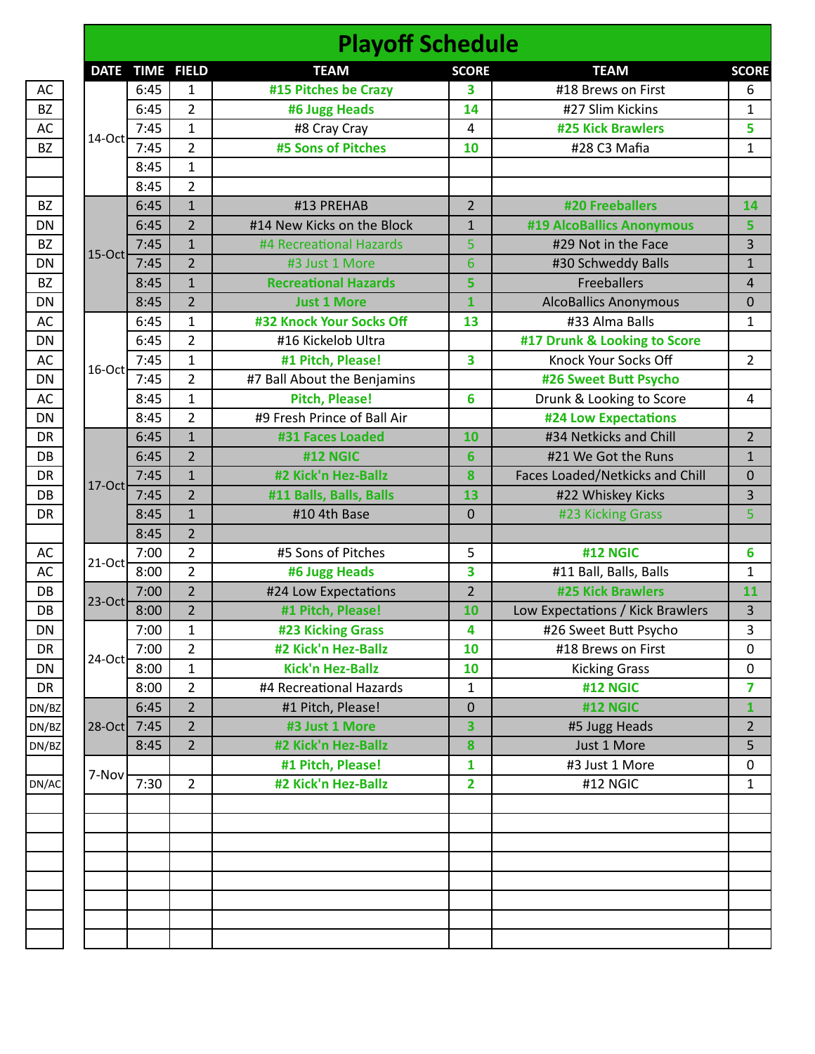|           |           |                 |                | <b>Playoff Schedule</b>     |                         |                                  |                |
|-----------|-----------|-----------------|----------------|-----------------------------|-------------------------|----------------------------------|----------------|
|           |           | DATE TIME FIELD |                | <b>TEAM</b>                 | <b>SCORE</b>            | <b>TEAM</b>                      | <b>SCORE</b>   |
| AC        |           | 6:45            | 1              | #15 Pitches be Crazy        | 3                       | #18 Brews on First               | 6              |
| <b>BZ</b> |           | 6:45            | $\overline{2}$ | #6 Jugg Heads               | 14                      | #27 Slim Kickins                 | $\mathbf{1}$   |
| AC        |           | 7:45            | $\mathbf{1}$   | #8 Cray Cray                | 4                       | <b>#25 Kick Brawlers</b>         | 5              |
| <b>BZ</b> | 14-Oct    | 7:45            | $\overline{2}$ | #5 Sons of Pitches          | 10                      | #28 C3 Mafia                     | $\mathbf{1}$   |
|           |           | 8:45            | $\mathbf{1}$   |                             |                         |                                  |                |
|           |           | 8:45            | $\overline{2}$ |                             |                         |                                  |                |
| <b>BZ</b> |           | 6:45            | $\mathbf{1}$   | #13 PREHAB                  | $\overline{2}$          | #20 Freeballers                  | 14             |
| DN        |           | 6:45            | $\overline{2}$ | #14 New Kicks on the Block  | $\mathbf{1}$            | #19 AlcoBallics Anonymous        | 5              |
| <b>BZ</b> |           | 7:45            | $\mathbf{1}$   | #4 Recreational Hazards     | 5                       | #29 Not in the Face              | 3              |
| DN        | $15$ -Oct | 7:45            | $\overline{2}$ | #3 Just 1 More              | 6                       | #30 Schweddy Balls               | $\mathbf{1}$   |
| <b>BZ</b> |           | 8:45            | $\mathbf{1}$   | <b>Recreational Hazards</b> | 5                       | <b>Freeballers</b>               | $\sqrt{4}$     |
| <b>DN</b> |           | 8:45            | $\overline{2}$ | <b>Just 1 More</b>          | $\mathbf{1}$            | <b>AlcoBallics Anonymous</b>     | $\mathbf 0$    |
| AC        |           | 6:45            | $\mathbf{1}$   | #32 Knock Your Socks Off    | 13                      | #33 Alma Balls                   | $\mathbf{1}$   |
| DN        |           | 6:45            | $\overline{2}$ | #16 Kickelob Ultra          |                         | #17 Drunk & Looking to Score     |                |
| AC        |           | 7:45            | $\mathbf{1}$   | #1 Pitch, Please!           | 3                       | Knock Your Socks Off             | $\overline{2}$ |
| DN        | 16-Oct    | 7:45            | 2              | #7 Ball About the Benjamins |                         | #26 Sweet Butt Psycho            |                |
| AC        |           | 8:45            | $\mathbf{1}$   | <b>Pitch, Please!</b>       | 6                       | Drunk & Looking to Score         | 4              |
| DN        |           | 8:45            | $\overline{2}$ | #9 Fresh Prince of Ball Air |                         | <b>#24 Low Expectations</b>      |                |
| <b>DR</b> |           | 6:45            | $\mathbf{1}$   | #31 Faces Loaded            | 10                      | #34 Netkicks and Chill           | $\overline{2}$ |
| DB        |           | 6:45            | $\overline{2}$ | #12 NGIC                    | 6                       | #21 We Got the Runs              | $\mathbf{1}$   |
| DR        |           | 7:45            | $\mathbf{1}$   | #2 Kick'n Hez-Ballz         | 8                       | Faces Loaded/Netkicks and Chill  | $\pmb{0}$      |
| DB        | $17-Oct$  | 7:45            | $\overline{2}$ | #11 Balls, Balls, Balls     | 13                      | #22 Whiskey Kicks                | 3              |
| <b>DR</b> |           | 8:45            | $\mathbf{1}$   | #10 4th Base                | 0                       | #23 Kicking Grass                | 5              |
|           |           | 8:45            | $\overline{2}$ |                             |                         |                                  |                |
| AC        |           | 7:00            | $\overline{2}$ | #5 Sons of Pitches          | 5                       | <b>#12 NGIC</b>                  | 6              |
| AC        | $21$ -Oct | 8:00            | $\overline{2}$ | #6 Jugg Heads               | 3                       | #11 Ball, Balls, Balls           | $\mathbf{1}$   |
| DB        |           | 7:00            | $\overline{2}$ | #24 Low Expectations        | $\overline{2}$          | <b>#25 Kick Brawlers</b>         | 11             |
| DB        | $23$ -Oct | 8:00            | $\overline{2}$ | #1 Pitch, Please!           | 10                      | Low Expectations / Kick Brawlers | 3              |
| <b>DN</b> |           | 7:00            | 1              | #23 Kicking Grass           | 4                       | #26 Sweet Butt Psycho            | 3              |
| DR        |           | 7:00            | $\overline{2}$ | #2 Kick'n Hez-Ballz         | 10                      | #18 Brews on First               | $\mathbf 0$    |
| <b>DN</b> | 24-Oct    | 8:00            | $\mathbf{1}$   | <b>Kick'n Hez-Ballz</b>     | 10                      | <b>Kicking Grass</b>             | $\pmb{0}$      |
| DR        |           | 8:00            | $\overline{2}$ | #4 Recreational Hazards     | $\mathbf{1}$            | #12 NGIC                         | 7              |
| DN/BZ     |           | 6:45            | $\overline{2}$ | #1 Pitch, Please!           | $\mathbf 0$             | #12 NGIC                         | $\mathbf{1}$   |
| DN/BZ     | $28-Oct$  | 7:45            | $\overline{2}$ | #3 Just 1 More              | 3                       | #5 Jugg Heads                    | $\overline{2}$ |
| DN/BZ     |           | 8:45            | $\overline{2}$ | #2 Kick'n Hez-Ballz         | 8                       | Just 1 More                      | 5              |
|           |           |                 |                | #1 Pitch, Please!           | $\mathbf{1}$            | #3 Just 1 More                   | $\pmb{0}$      |
| DN/AC     | 7-Nov     | 7:30            | $\overline{2}$ | #2 Kick'n Hez-Ballz         | $\overline{\mathbf{2}}$ | #12 NGIC                         | $\mathbf{1}$   |
|           |           |                 |                |                             |                         |                                  |                |
|           |           |                 |                |                             |                         |                                  |                |
|           |           |                 |                |                             |                         |                                  |                |
|           |           |                 |                |                             |                         |                                  |                |
|           |           |                 |                |                             |                         |                                  |                |
|           |           |                 |                |                             |                         |                                  |                |